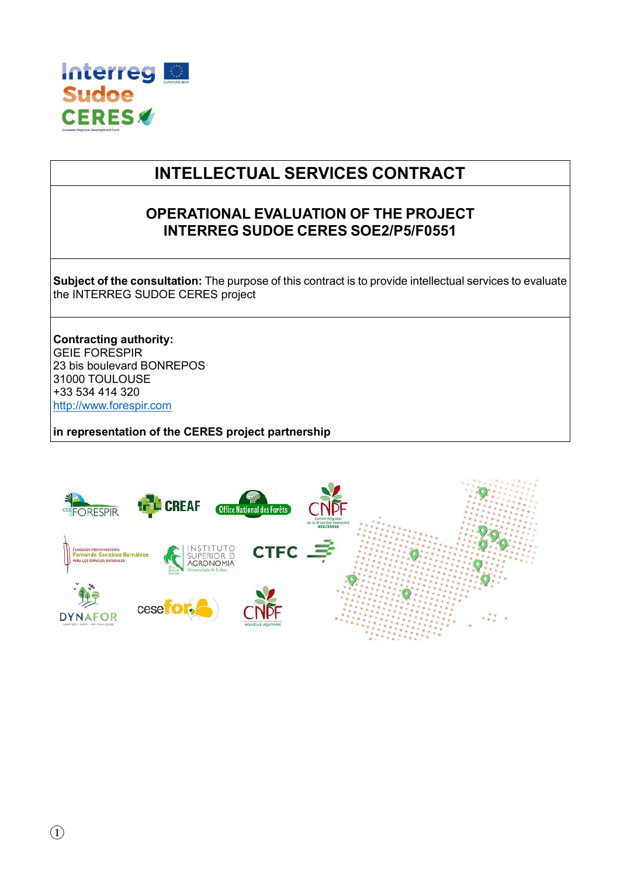

# **INTELLECTUAL SERVICES CONTRACT**

## **OPERATIONAL EVALUATION OF THE PROJECT INTERREG SUDOE CERES SOE2/P5/F0551**

**Subject of the consultation:** The purpose of this contract is to provide intellectual services to evaluate the INTERREG SUDOE CERES project

**Contracting authority:** GEIE FORESPIR 23 bis boulevard BONREPOS 31000 TOULOUSE +33 534 414 320 [http://www.forespir.com](http://www.forespir.com/)

**in representation of the CERES project partnership**

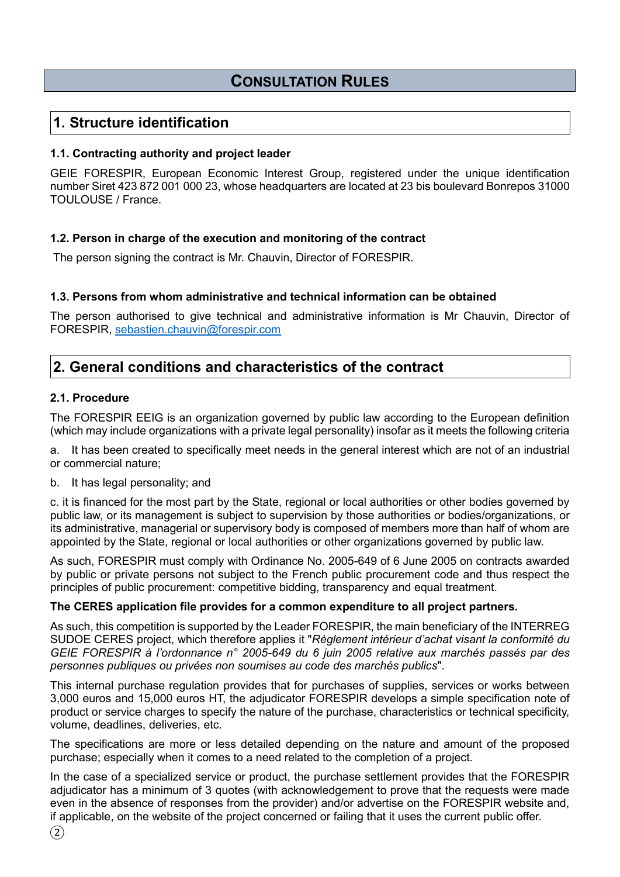## **CONSULTATION RULES**

## **1. Structure identification**

### **1.1. Contracting authority and project leader**

GEIE FORESPIR, European Economic Interest Group, registered under the unique identification number Siret 423 872 001 000 23, whose headquarters are located at 23 bis boulevard Bonrepos 31000 TOULOUSE / France.

## **1.2. Person in charge of the execution and monitoring of the contract**

The person signing the contract is Mr. Chauvin, Director of FORESPIR.

## **1.3. Persons from whom administrative and technical information can be obtained**

The person authorised to give technical and administrative information is Mr Chauvin, Director of FORESPIR, [sebastien.chauvin@forespir.com](mailto:sebastien.chauvin@forespir.com)

## **2. General conditions and characteristics of the contract**

### **2.1. Procedure**

The FORESPIR EEIG is an organization governed by public law according to the European definition (which may include organizations with a private legal personality) insofar as it meets the following criteria

a. It has been created to specifically meet needs in the general interest which are not of an industrial or commercial nature;

### b. It has legal personality; and

c. it is financed for the most part by the State, regional or local authorities or other bodies governed by public law, or its management is subject to supervision by those authorities or bodies/organizations, or its administrative, managerial or supervisory body is composed of members more than half of whom are appointed by the State, regional or local authorities or other organizations governed by public law.

As such, FORESPIR must comply with Ordinance No. 2005-649 of 6 June 2005 on contracts awarded by public or private persons not subject to the French public procurement code and thus respect the principles of public procurement: competitive bidding, transparency and equal treatment.

### **The CERES application file provides for a common expenditure to all project partners.**

As such, this competition is supported by the Leader FORESPIR, the main beneficiary of the INTERREG SUDOE CERES project, which therefore applies it "*Règlement intérieur d'achat visant la conformité du GEIE FORESPIR à l'ordonnance n° 2005-649 du 6 juin 2005 relative aux marchés passés par des personnes publiques ou privées non soumises au code des marchés publics*".

This internal purchase regulation provides that for purchases of supplies, services or works between 3,000 euros and 15,000 euros HT, the adjudicator FORESPIR develops a simple specification note of product or service charges to specify the nature of the purchase, characteristics or technical specificity, volume, deadlines, deliveries, etc.

The specifications are more or less detailed depending on the nature and amount of the proposed purchase; especially when it comes to a need related to the completion of a project.

In the case of a specialized service or product, the purchase settlement provides that the FORESPIR adjudicator has a minimum of 3 quotes (with acknowledgement to prove that the requests were made even in the absence of responses from the provider) and/or advertise on the FORESPIR website and, if applicable, on the website of the project concerned or failing that it uses the current public offer.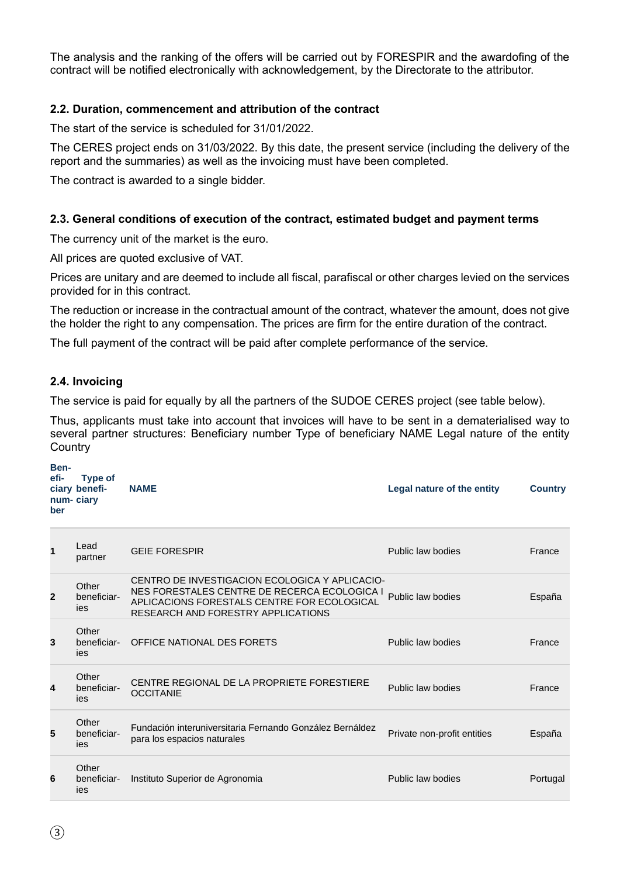The analysis and the ranking of the offers will be carried out by FORESPIR and the awardofing of the contract will be notified electronically with acknowledgement, by the Directorate to the attributor.

### **2.2. Duration, commencement and attribution of the contract**

The start of the service is scheduled for 31/01/2022.

The CERES project ends on 31/03/2022. By this date, the present service (including the delivery of the report and the summaries) as well as the invoicing must have been completed.

The contract is awarded to a single bidder.

### **2.3. General conditions of execution of the contract, estimated budget and payment terms**

The currency unit of the market is the euro.

All prices are quoted exclusive of VAT.

Prices are unitary and are deemed to include all fiscal, parafiscal or other charges levied on the services provided for in this contract.

The reduction or increase in the contractual amount of the contract, whatever the amount, does not give the holder the right to any compensation. The prices are firm for the entire duration of the contract.

The full payment of the contract will be paid after complete performance of the service.

### **2.4. Invoicing**

The service is paid for equally by all the partners of the SUDOE CERES project (see table below).

Thus, applicants must take into account that invoices will have to be sent in a dematerialised way to several partner structures: Beneficiary number Type of beneficiary NAME Legal nature of the entity **Country** 

| Ben-<br>efi-<br>ber | Type of<br>ciary benefi-<br>num-ciary | <b>NAME</b>                                                                                                                                                                         | Legal nature of the entity  | <b>Country</b> |
|---------------------|---------------------------------------|-------------------------------------------------------------------------------------------------------------------------------------------------------------------------------------|-----------------------------|----------------|
| 1                   | Lead<br>partner                       | <b>GEIE FORESPIR</b>                                                                                                                                                                | Public law bodies           | France         |
| 2                   | Other<br>beneficiar-<br>ies           | CENTRO DE INVESTIGACION ECOLOGICA Y APLICACIO-<br>NES FORESTALES CENTRE DE RECERCA ECOLOGICA I<br>APLICACIONS FORESTALS CENTRE FOR ECOLOGICAL<br>RESEARCH AND FORESTRY APPLICATIONS | Public law bodies           | España         |
| 3                   | Other<br>beneficiar-<br>ies           | OFFICE NATIONAL DES FORETS                                                                                                                                                          | Public law bodies           | France         |
| 4                   | Other<br>beneficiar-<br>ies           | CENTRE REGIONAL DE LA PROPRIETE FORESTIERE<br><b>OCCITANIE</b>                                                                                                                      | Public law bodies           | France         |
| 5                   | Other<br>beneficiar-<br>ies           | Fundación interuniversitaria Fernando González Bernáldez<br>para los espacios naturales                                                                                             | Private non-profit entities | España         |
| 6                   | Other<br>beneficiar-<br>ies           | Instituto Superior de Agronomia                                                                                                                                                     | Public law bodies           | Portugal       |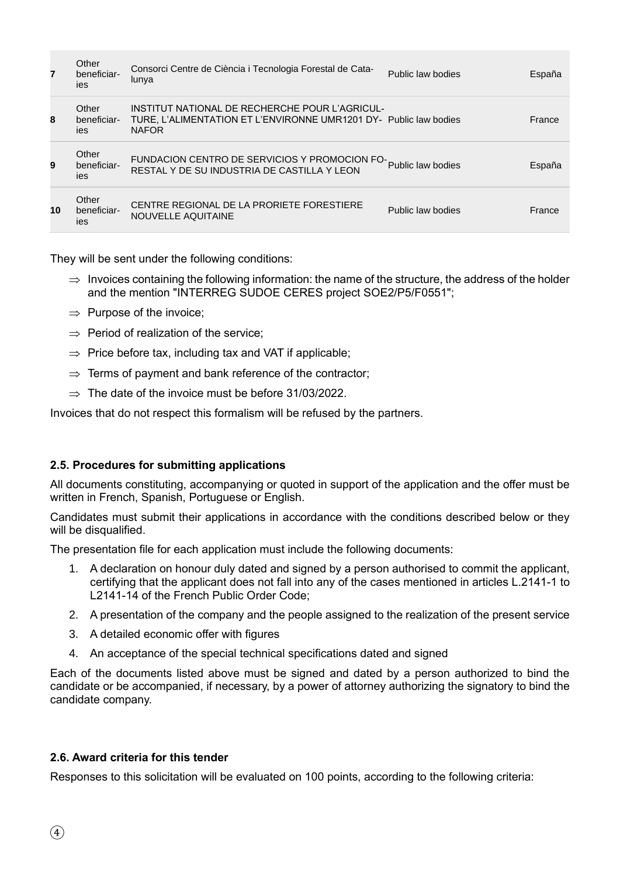| 7  | Other<br>beneficiar-<br>ies | Consorci Centre de Ciència i Tecnologia Forestal de Cata-<br>lunya                                                                  | Public law bodies | España |
|----|-----------------------------|-------------------------------------------------------------------------------------------------------------------------------------|-------------------|--------|
| 8  | Other<br>beneficiar-<br>ies | INSTITUT NATIONAL DE RECHERCHE POUR L'AGRICUL-<br>TURE, L'ALIMENTATION ET L'ENVIRONNE UMR1201 DY- Public law bodies<br><b>NAFOR</b> |                   | France |
| 9  | Other<br>beneficiar-<br>ies | FUNDACION CENTRO DE SERVICIOS Y PROMOCION FO-<br>Public law bodies<br>RESTAL Y DE SU INDUSTRIA DE CASTILLA Y LEON                   |                   | España |
| 10 | Other<br>beneficiar-<br>ies | CENTRE REGIONAL DE LA PRORIETE FORESTIERE<br>NOUVELLE AQUITAINE                                                                     | Public law bodies | France |

They will be sent under the following conditions:

- $\Rightarrow$  Invoices containing the following information: the name of the structure, the address of the holder and the mention "INTERREG SUDOE CERES project SOE2/P5/F0551";
- $\Rightarrow$  Purpose of the invoice;
- $\Rightarrow$  Period of realization of the service:
- $\Rightarrow$  Price before tax, including tax and VAT if applicable;
- $\Rightarrow$  Terms of payment and bank reference of the contractor;
- $\Rightarrow$  The date of the invoice must be before 31/03/2022.

Invoices that do not respect this formalism will be refused by the partners.

## **2.5. Procedures for submitting applications**

All documents constituting, accompanying or quoted in support of the application and the offer must be written in French, Spanish, Portuguese or English.

Candidates must submit their applications in accordance with the conditions described below or they will be disqualified.

The presentation file for each application must include the following documents:

- 1. A declaration on honour duly dated and signed by a person authorised to commit the applicant, certifying that the applicant does not fall into any of the cases mentioned in articles L.2141-1 to L2141-14 of the French Public Order Code;
- 2. A presentation of the company and the people assigned to the realization of the present service
- 3. A detailed economic offer with figures
- 4. An acceptance of the special technical specifications dated and signed

Each of the documents listed above must be signed and dated by a person authorized to bind the candidate or be accompanied, if necessary, by a power of attorney authorizing the signatory to bind the candidate company.

## **2.6. Award criteria for this tender**

Responses to this solicitation will be evaluated on 100 points, according to the following criteria: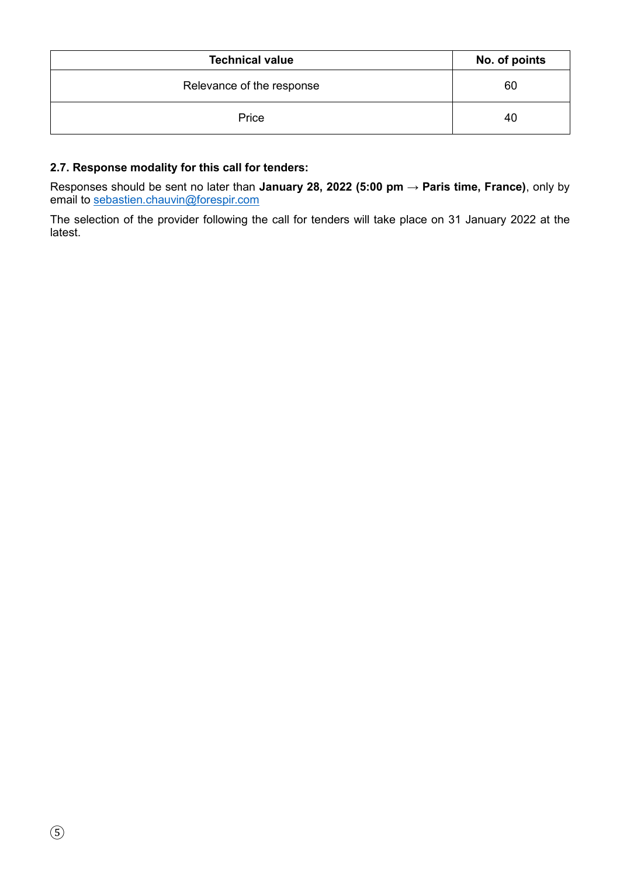| <b>Technical value</b>    | No. of points |
|---------------------------|---------------|
| Relevance of the response | 60            |
| Price                     | 40            |

## **2.7. Response modality for this call for tenders:**

Responses should be sent no later than **January 28, 2022 (5:00 pm → Paris time, France)**, only by email to [sebastien.chauvin@forespir.com](mailto:sebastien.chauvin@forespir.com) 

The selection of the provider following the call for tenders will take place on 31 January 2022 at the latest.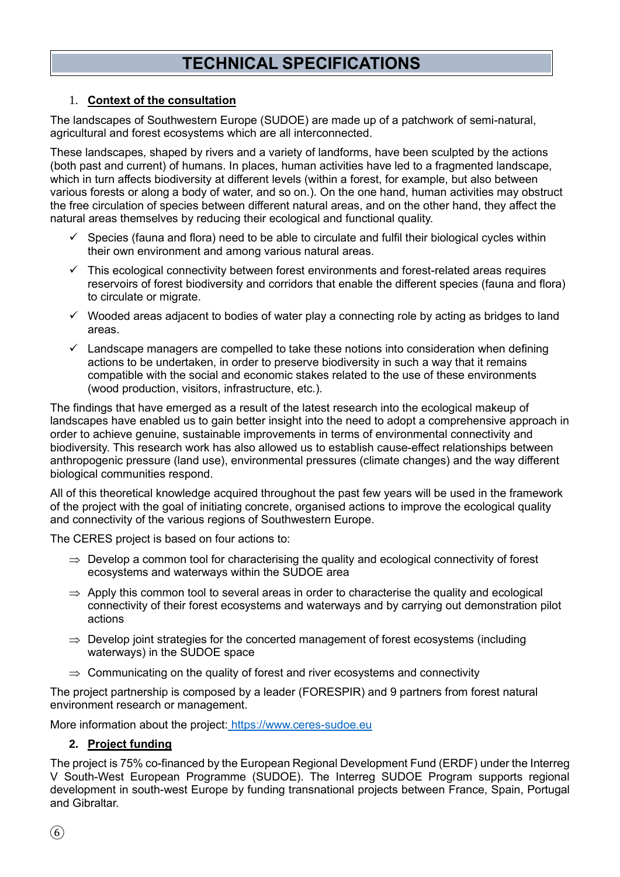# **TECHNICAL SPECIFICATIONS**

## 1. **Context of the consultation**

The landscapes of Southwestern Europe (SUDOE) are made up of a patchwork of semi-natural, agricultural and forest ecosystems which are all interconnected.

These landscapes, shaped by rivers and a variety of landforms, have been sculpted by the actions (both past and current) of humans. In places, human activities have led to a fragmented landscape, which in turn affects biodiversity at different levels (within a forest, for example, but also between various forests or along a body of water, and so on.). On the one hand, human activities may obstruct the free circulation of species between different natural areas, and on the other hand, they affect the natural areas themselves by reducing their ecological and functional quality.

- $\checkmark$  Species (fauna and flora) need to be able to circulate and fulfil their biological cycles within their own environment and among various natural areas.
- $\checkmark$  This ecological connectivity between forest environments and forest-related areas requires reservoirs of forest biodiversity and corridors that enable the different species (fauna and flora) to circulate or migrate.
- $\checkmark$  Wooded areas adjacent to bodies of water play a connecting role by acting as bridges to land areas.
- $\checkmark$  Landscape managers are compelled to take these notions into consideration when defining actions to be undertaken, in order to preserve biodiversity in such a way that it remains compatible with the social and economic stakes related to the use of these environments (wood production, visitors, infrastructure, etc.).

The findings that have emerged as a result of the latest research into the ecological makeup of landscapes have enabled us to gain better insight into the need to adopt a comprehensive approach in order to achieve genuine, sustainable improvements in terms of environmental connectivity and biodiversity. This research work has also allowed us to establish cause-effect relationships between anthropogenic pressure (land use), environmental pressures (climate changes) and the way different biological communities respond.

All of this theoretical knowledge acquired throughout the past few years will be used in the framework of the project with the goal of initiating concrete, organised actions to improve the ecological quality and connectivity of the various regions of Southwestern Europe.

The CERES project is based on four actions to:

- $\Rightarrow$  Develop a common tool for characterising the quality and ecological connectivity of forest ecosystems and waterways within the SUDOE area
- $\Rightarrow$  Apply this common tool to several areas in order to characterise the quality and ecological connectivity of their forest ecosystems and waterways and by carrying out demonstration pilot actions
- $\Rightarrow$  Develop joint strategies for the concerted management of forest ecosystems (including waterways) in the SUDOE space
- $\Rightarrow$  Communicating on the quality of forest and river ecosystems and connectivity

The project partnership is composed by a leader (FORESPIR) and 9 partners from forest natural environment research or management.

More information about the project: [https://www.ceres-sudoe.eu](https://www.ceres-sudoe.eu/)

## **2. Project funding**

The project is 75% co-financed by the European Regional Development Fund (ERDF) under the Interreg V South-West European Programme (SUDOE). The Interreg SUDOE Program supports regional development in south-west Europe by funding transnational projects between France, Spain, Portugal and Gibraltar.